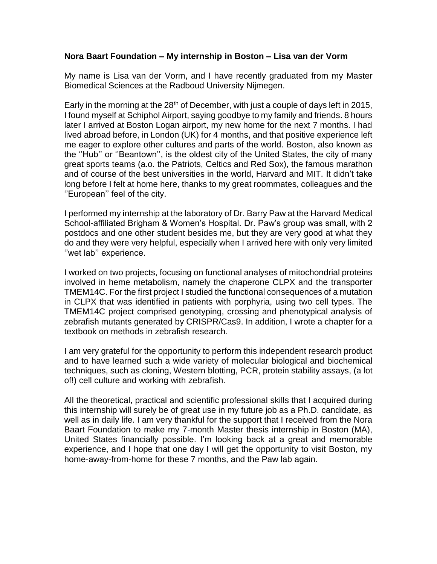## **Nora Baart Foundation – My internship in Boston – Lisa van der Vorm**

My name is Lisa van der Vorm, and I have recently graduated from my Master Biomedical Sciences at the Radboud University Nijmegen.

Early in the morning at the 28<sup>th</sup> of December, with just a couple of days left in 2015, I found myself at Schiphol Airport, saying goodbye to my family and friends. 8 hours later I arrived at Boston Logan airport, my new home for the next 7 months. I had lived abroad before, in London (UK) for 4 months, and that positive experience left me eager to explore other cultures and parts of the world. Boston, also known as the ''Hub'' or ''Beantown'', is the oldest city of the United States, the city of many great sports teams (a.o. the Patriots, Celtics and Red Sox), the famous marathon and of course of the best universities in the world, Harvard and MIT. It didn't take long before I felt at home here, thanks to my great roommates, colleagues and the ''European'' feel of the city.

I performed my internship at the laboratory of Dr. Barry Paw at the Harvard Medical School-affiliated Brigham & Women's Hospital. Dr. Paw's group was small, with 2 postdocs and one other student besides me, but they are very good at what they do and they were very helpful, especially when I arrived here with only very limited ''wet lab'' experience.

I worked on two projects, focusing on functional analyses of mitochondrial proteins involved in heme metabolism, namely the chaperone CLPX and the transporter TMEM14C. For the first project I studied the functional consequences of a mutation in CLPX that was identified in patients with porphyria, using two cell types. The TMEM14C project comprised genotyping, crossing and phenotypical analysis of zebrafish mutants generated by CRISPR/Cas9. In addition, I wrote a chapter for a textbook on methods in zebrafish research.

I am very grateful for the opportunity to perform this independent research product and to have learned such a wide variety of molecular biological and biochemical techniques, such as cloning, Western blotting, PCR, protein stability assays, (a lot of!) cell culture and working with zebrafish.

All the theoretical, practical and scientific professional skills that I acquired during this internship will surely be of great use in my future job as a Ph.D. candidate, as well as in daily life. I am very thankful for the support that I received from the Nora Baart Foundation to make my 7-month Master thesis internship in Boston (MA), United States financially possible. I'm looking back at a great and memorable experience, and I hope that one day I will get the opportunity to visit Boston, my home-away-from-home for these 7 months, and the Paw lab again.